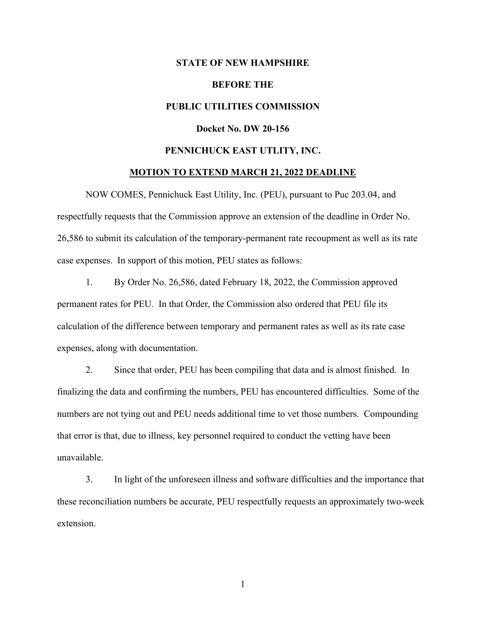## **STATE OF NEW HAMPSHIRE**

## **BEFORE THE**

# **PUBLIC UTILITIES COMMISSION**

## **Docket No. DW 20-156**

## **PENNICHUCK EAST UTLITY, INC.**

## **MOTION TO EXTEND MARCH 21, 2022 DEADLINE**

NOW COMES, Pennichuck East Utility, Inc. (PEU), pursuant to Puc 203.04, and respectfully requests that the Commission approve an extension of the deadline in Order No. 26,586 to submit its calculation of the temporary-permanent rate recoupment as well as its rate case expenses. In support of this motion, PEU states as follows:

1. By Order No. 26,586, dated February 18, 2022, the Commission approved permanent rates for PEU. In that Order, the Commission also ordered that PEU file its calculation of the difference between temporary and permanent rates as well as its rate case expenses, along with documentation.

2. Since that order, PEU has been compiling that data and is almost finished. In finalizing the data and confirming the numbers, PEU has encountered difficulties. Some of the numbers are not tying out and PEU needs additional time to vet those numbers. Compounding that error is that, due to illness, key personnel required to conduct the vetting have been unavailable.

3. In light of the unforeseen illness and software difficulties and the importance that these reconciliation numbers be accurate, PEU respectfully requests an approximately two-week extension.

1